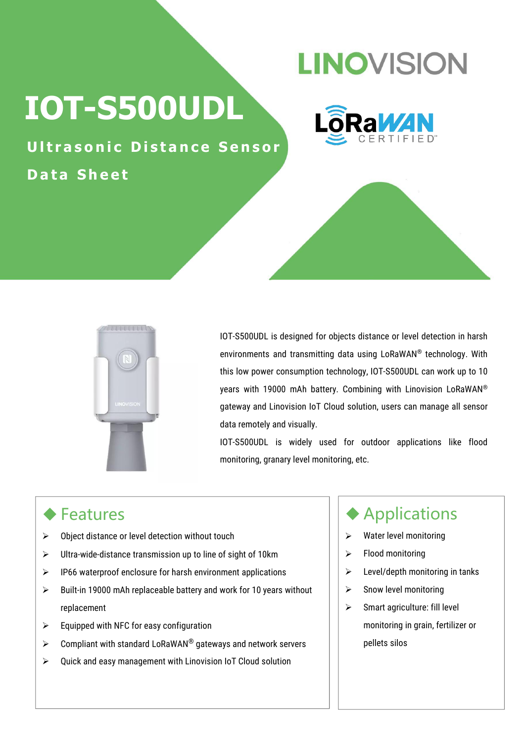## **LINOVISION**

# **IOT-S500UDL**



**Ultrasonic Distance Sensor D a t a S h e e t**



IOT-S500UDL is designed for objects distance or level detection in harsh environments and transmitting data using LoRaWAN ® technology. With this low power consumption technology, IOT-S500UDL can work up to 10 years with 19000 mAh battery. Combining with Linovision LoRaWAN ® gateway and Linovision IoT Cloud solution, users can manage all sensor data remotely and visually.

IOT-S500UDL is widely used for outdoor applications like flood monitoring, granary level monitoring, etc.

#### ◆ Features

- $\triangleright$  Object distance or level detection without touch
- $\triangleright$  Ultra-wide-distance transmission up to line of sight of 10km  $\vert \triangleright$
- $\triangleright$  IP66 waterproof enclosure for harsh environment applications  $\vert \cdot \rangle$
- $\triangleright$  Built-in 19000 mAh replaceable battery and work for 10 years without  $\vert \cdot \vert$ replacement
- $\triangleright$  Equipped with NFC for easy configuration
- $\triangleright$  Compliant with standard LoRaWAN® gateways and network servers  $\vert \ \vert$  pellets
- $\triangleright$  Quick and easy management with Linovision IoT Cloud solution

#### Applications

- $\triangleright$  Water level monitoring
- Flood monitoring
- Level/depth monitoring in tanks
- Snow level monitoring
- $\triangleright$  Smart agriculture: fill level monitoring in grain, fertilizer or pellets silos